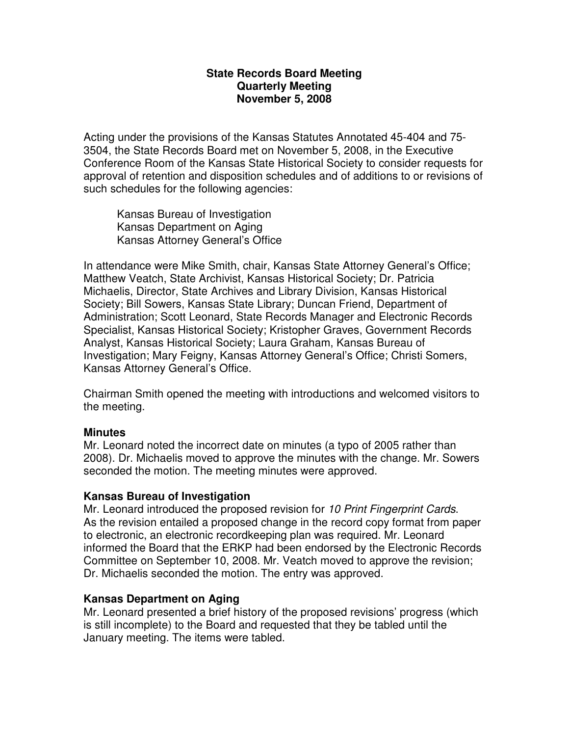# **State Records Board Meeting Quarterly Meeting November 5, 2008**

Acting under the provisions of the Kansas Statutes Annotated 45-404 and 75- 3504, the State Records Board met on November 5, 2008, in the Executive Conference Room of the Kansas State Historical Society to consider requests for approval of retention and disposition schedules and of additions to or revisions of such schedules for the following agencies:

Kansas Bureau of Investigation Kansas Department on Aging Kansas Attorney General's Office

In attendance were Mike Smith, chair, Kansas State Attorney General's Office; Matthew Veatch, State Archivist, Kansas Historical Society; Dr. Patricia Michaelis, Director, State Archives and Library Division, Kansas Historical Society; Bill Sowers, Kansas State Library; Duncan Friend, Department of Administration; Scott Leonard, State Records Manager and Electronic Records Specialist, Kansas Historical Society; Kristopher Graves, Government Records Analyst, Kansas Historical Society; Laura Graham, Kansas Bureau of Investigation; Mary Feigny, Kansas Attorney General's Office; Christi Somers, Kansas Attorney General's Office.

Chairman Smith opened the meeting with introductions and welcomed visitors to the meeting.

#### **Minutes**

Mr. Leonard noted the incorrect date on minutes (a typo of 2005 rather than 2008). Dr. Michaelis moved to approve the minutes with the change. Mr. Sowers seconded the motion. The meeting minutes were approved.

# **Kansas Bureau of Investigation**

Mr. Leonard introduced the proposed revision for 10 Print Fingerprint Cards. As the revision entailed a proposed change in the record copy format from paper to electronic, an electronic recordkeeping plan was required. Mr. Leonard informed the Board that the ERKP had been endorsed by the Electronic Records Committee on September 10, 2008. Mr. Veatch moved to approve the revision; Dr. Michaelis seconded the motion. The entry was approved.

# **Kansas Department on Aging**

Mr. Leonard presented a brief history of the proposed revisions' progress (which is still incomplete) to the Board and requested that they be tabled until the January meeting. The items were tabled.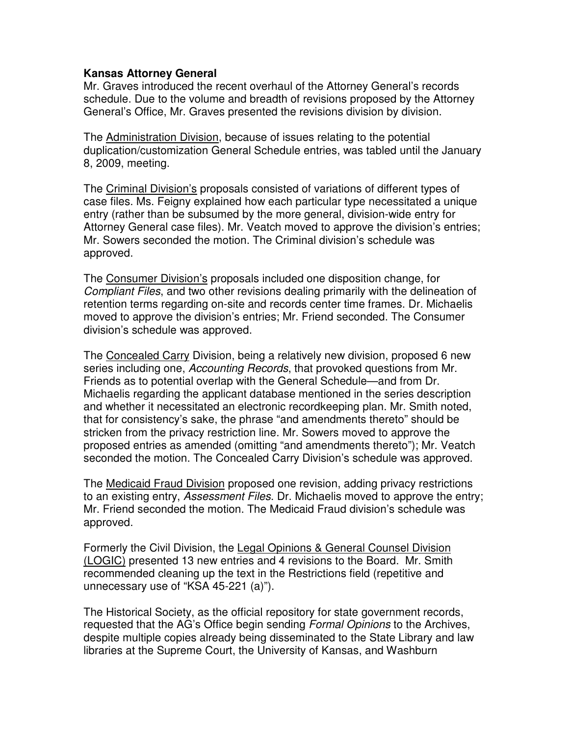### **Kansas Attorney General**

Mr. Graves introduced the recent overhaul of the Attorney General's records schedule. Due to the volume and breadth of revisions proposed by the Attorney General's Office, Mr. Graves presented the revisions division by division.

The Administration Division, because of issues relating to the potential duplication/customization General Schedule entries, was tabled until the January 8, 2009, meeting.

The Criminal Division's proposals consisted of variations of different types of case files. Ms. Feigny explained how each particular type necessitated a unique entry (rather than be subsumed by the more general, division-wide entry for Attorney General case files). Mr. Veatch moved to approve the division's entries; Mr. Sowers seconded the motion. The Criminal division's schedule was approved.

The Consumer Division's proposals included one disposition change, for Compliant Files, and two other revisions dealing primarily with the delineation of retention terms regarding on-site and records center time frames. Dr. Michaelis moved to approve the division's entries; Mr. Friend seconded. The Consumer division's schedule was approved.

The Concealed Carry Division, being a relatively new division, proposed 6 new series including one, Accounting Records, that provoked questions from Mr. Friends as to potential overlap with the General Schedule—and from Dr. Michaelis regarding the applicant database mentioned in the series description and whether it necessitated an electronic recordkeeping plan. Mr. Smith noted, that for consistency's sake, the phrase "and amendments thereto" should be stricken from the privacy restriction line. Mr. Sowers moved to approve the proposed entries as amended (omitting "and amendments thereto"); Mr. Veatch seconded the motion. The Concealed Carry Division's schedule was approved.

The Medicaid Fraud Division proposed one revision, adding privacy restrictions to an existing entry, *Assessment Files*. Dr. Michaelis moved to approve the entry: Mr. Friend seconded the motion. The Medicaid Fraud division's schedule was approved.

Formerly the Civil Division, the Legal Opinions & General Counsel Division (LOGIC) presented 13 new entries and 4 revisions to the Board. Mr. Smith recommended cleaning up the text in the Restrictions field (repetitive and unnecessary use of "KSA 45-221 (a)").

The Historical Society, as the official repository for state government records, requested that the AG's Office begin sending Formal Opinions to the Archives, despite multiple copies already being disseminated to the State Library and law libraries at the Supreme Court, the University of Kansas, and Washburn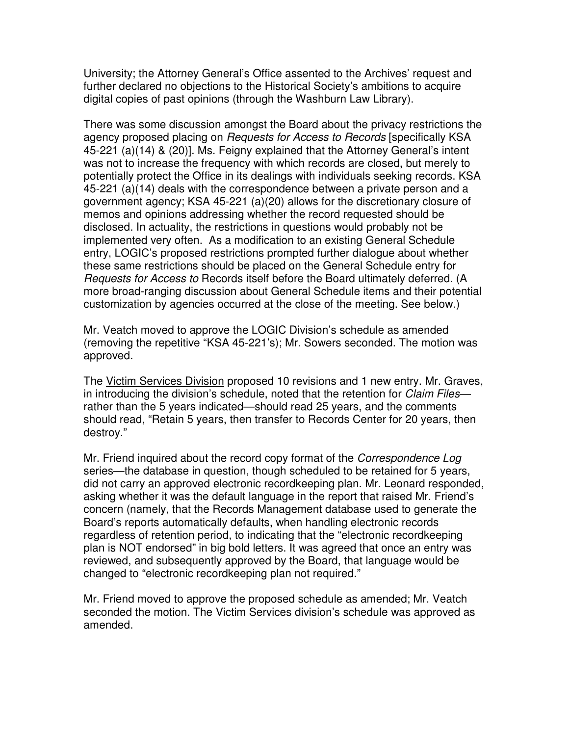University; the Attorney General's Office assented to the Archives' request and further declared no objections to the Historical Society's ambitions to acquire digital copies of past opinions (through the Washburn Law Library).

There was some discussion amongst the Board about the privacy restrictions the agency proposed placing on Requests for Access to Records [specifically KSA 45-221 (a)(14) & (20)]. Ms. Feigny explained that the Attorney General's intent was not to increase the frequency with which records are closed, but merely to potentially protect the Office in its dealings with individuals seeking records. KSA 45-221 (a)(14) deals with the correspondence between a private person and a government agency; KSA 45-221 (a)(20) allows for the discretionary closure of memos and opinions addressing whether the record requested should be disclosed. In actuality, the restrictions in questions would probably not be implemented very often. As a modification to an existing General Schedule entry, LOGIC's proposed restrictions prompted further dialogue about whether these same restrictions should be placed on the General Schedule entry for Requests for Access to Records itself before the Board ultimately deferred. (A more broad-ranging discussion about General Schedule items and their potential customization by agencies occurred at the close of the meeting. See below.)

Mr. Veatch moved to approve the LOGIC Division's schedule as amended (removing the repetitive "KSA 45-221's); Mr. Sowers seconded. The motion was approved.

The Victim Services Division proposed 10 revisions and 1 new entry. Mr. Graves, in introducing the division's schedule, noted that the retention for Claim Filesrather than the 5 years indicated—should read 25 years, and the comments should read, "Retain 5 years, then transfer to Records Center for 20 years, then destroy."

Mr. Friend inquired about the record copy format of the *Correspondence Log* series—the database in question, though scheduled to be retained for 5 years, did not carry an approved electronic recordkeeping plan. Mr. Leonard responded, asking whether it was the default language in the report that raised Mr. Friend's concern (namely, that the Records Management database used to generate the Board's reports automatically defaults, when handling electronic records regardless of retention period, to indicating that the "electronic recordkeeping plan is NOT endorsed" in big bold letters. It was agreed that once an entry was reviewed, and subsequently approved by the Board, that language would be changed to "electronic recordkeeping plan not required."

Mr. Friend moved to approve the proposed schedule as amended; Mr. Veatch seconded the motion. The Victim Services division's schedule was approved as amended.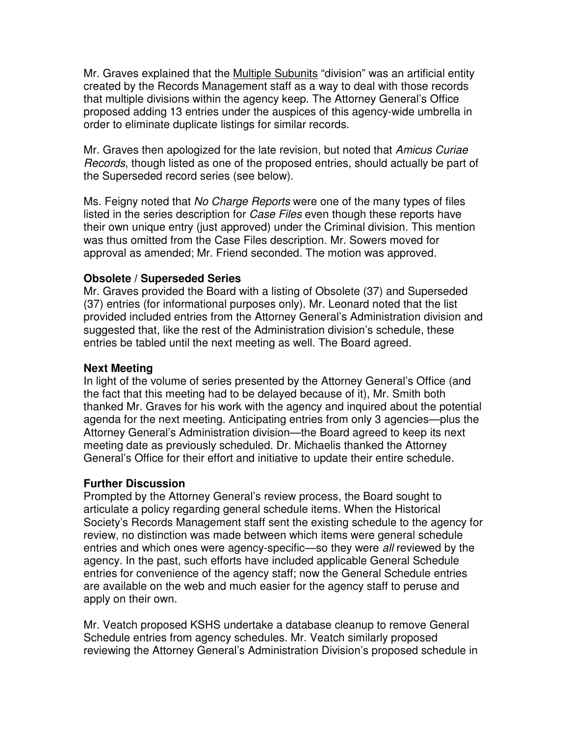Mr. Graves explained that the Multiple Subunits "division" was an artificial entity created by the Records Management staff as a way to deal with those records that multiple divisions within the agency keep. The Attorney General's Office proposed adding 13 entries under the auspices of this agency-wide umbrella in order to eliminate duplicate listings for similar records.

Mr. Graves then apologized for the late revision, but noted that Amicus Curiae Records, though listed as one of the proposed entries, should actually be part of the Superseded record series (see below).

Ms. Feigny noted that *No Charge Reports* were one of the many types of files listed in the series description for Case Files even though these reports have their own unique entry (just approved) under the Criminal division. This mention was thus omitted from the Case Files description. Mr. Sowers moved for approval as amended; Mr. Friend seconded. The motion was approved.

# **Obsolete / Superseded Series**

Mr. Graves provided the Board with a listing of Obsolete (37) and Superseded (37) entries (for informational purposes only). Mr. Leonard noted that the list provided included entries from the Attorney General's Administration division and suggested that, like the rest of the Administration division's schedule, these entries be tabled until the next meeting as well. The Board agreed.

### **Next Meeting**

In light of the volume of series presented by the Attorney General's Office (and the fact that this meeting had to be delayed because of it), Mr. Smith both thanked Mr. Graves for his work with the agency and inquired about the potential agenda for the next meeting. Anticipating entries from only 3 agencies—plus the Attorney General's Administration division—the Board agreed to keep its next meeting date as previously scheduled. Dr. Michaelis thanked the Attorney General's Office for their effort and initiative to update their entire schedule.

# **Further Discussion**

Prompted by the Attorney General's review process, the Board sought to articulate a policy regarding general schedule items. When the Historical Society's Records Management staff sent the existing schedule to the agency for review, no distinction was made between which items were general schedule entries and which ones were agency-specific—so they were all reviewed by the agency. In the past, such efforts have included applicable General Schedule entries for convenience of the agency staff; now the General Schedule entries are available on the web and much easier for the agency staff to peruse and apply on their own.

Mr. Veatch proposed KSHS undertake a database cleanup to remove General Schedule entries from agency schedules. Mr. Veatch similarly proposed reviewing the Attorney General's Administration Division's proposed schedule in